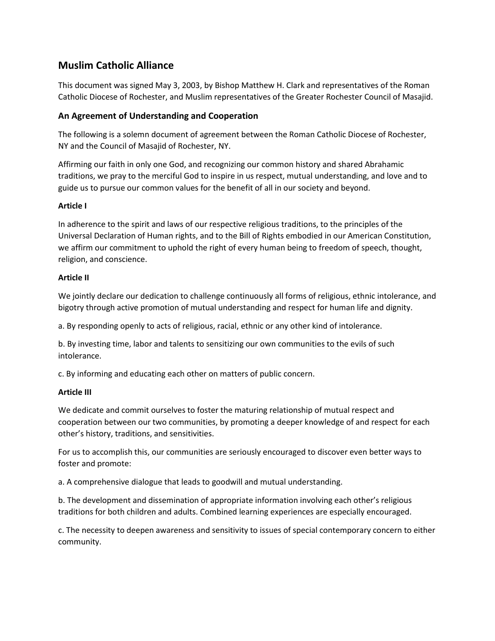# **Muslim Catholic Alliance**

This document was signed May 3, 2003, by Bishop Matthew H. Clark and representatives of the Roman Catholic Diocese of Rochester, and Muslim representatives of the Greater Rochester Council of Masajid.

## **An Agreement of Understanding and Cooperation**

The following is a solemn document of agreement between the Roman Catholic Diocese of Rochester, NY and the Council of Masajid of Rochester, NY.

Affirming our faith in only one God, and recognizing our common history and shared Abrahamic traditions, we pray to the merciful God to inspire in us respect, mutual understanding, and love and to guide us to pursue our common values for the benefit of all in our society and beyond.

### **Article I**

In adherence to the spirit and laws of our respective religious traditions, to the principles of the Universal Declaration of Human rights, and to the Bill of Rights embodied in our American Constitution, we affirm our commitment to uphold the right of every human being to freedom of speech, thought, religion, and conscience.

### **Article II**

We jointly declare our dedication to challenge continuously all forms of religious, ethnic intolerance, and bigotry through active promotion of mutual understanding and respect for human life and dignity.

a. By responding openly to acts of religious, racial, ethnic or any other kind of intolerance.

b. By investing time, labor and talents to sensitizing our own communities to the evils of such intolerance.

c. By informing and educating each other on matters of public concern.

## **Article III**

We dedicate and commit ourselves to foster the maturing relationship of mutual respect and cooperation between our two communities, by promoting a deeper knowledge of and respect for each other's history, traditions, and sensitivities.

For us to accomplish this, our communities are seriously encouraged to discover even better ways to foster and promote:

a. A comprehensive dialogue that leads to goodwill and mutual understanding.

b. The development and dissemination of appropriate information involving each other's religious traditions for both children and adults. Combined learning experiences are especially encouraged.

c. The necessity to deepen awareness and sensitivity to issues of special contemporary concern to either community.